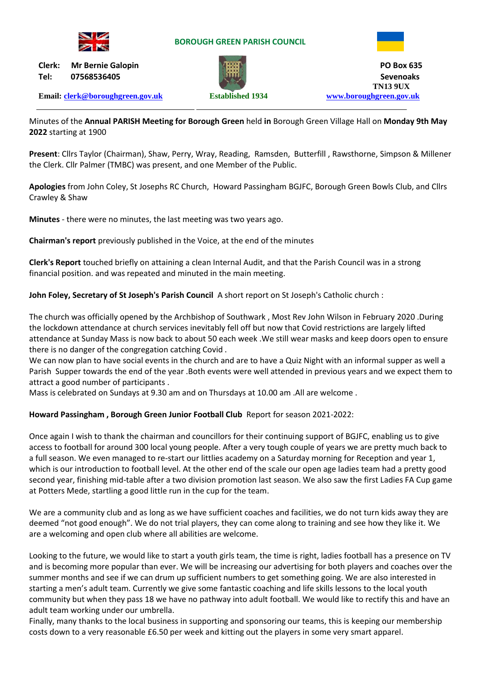

## **BOROUGH GREEN PARISH COUNCIL**





Minutes of the **Annual PARISH Meeting for Borough Green** held **in** Borough Green Village Hall on **Monday 9th May 2022** starting at 1900

**Present**: Cllrs Taylor (Chairman), Shaw, Perry, Wray, Reading, Ramsden, Butterfill , Rawsthorne, Simpson & Millener the Clerk. Cllr Palmer (TMBC) was present, and one Member of the Public.

**Apologies** from John Coley, St Josephs RC Church, Howard Passingham BGJFC, Borough Green Bowls Club, and Cllrs Crawley & Shaw

**Minutes** - there were no minutes, the last meeting was two years ago.

**Chairman's report** previously published in the Voice, at the end of the minutes

**Clerk's Report** touched briefly on attaining a clean Internal Audit, and that the Parish Council was in a strong financial position. and was repeated and minuted in the main meeting.

**John Foley, Secretary of St Joseph's Parish Council** A short report on St Joseph's Catholic church :

The church was officially opened by the Archbishop of Southwark , Most Rev John Wilson in February 2020 .During the lockdown attendance at church services inevitably fell off but now that Covid restrictions are largely lifted attendance at Sunday Mass is now back to about 50 each week .We still wear masks and keep doors open to ensure there is no danger of the congregation catching Covid .

We can now plan to have social events in the church and are to have a Quiz Night with an informal supper as well a Parish Supper towards the end of the year .Both events were well attended in previous years and we expect them to attract a good number of participants .

Mass is celebrated on Sundays at 9.30 am and on Thursdays at 10.00 am .All are welcome .

## **Howard Passingham , Borough Green Junior Football Club** Report for season 2021-2022:

Once again I wish to thank the chairman and councillors for their continuing support of BGJFC, enabling us to give access to football for around 300 local young people. After a very tough couple of years we are pretty much back to a full season. We even managed to re-start our littlies academy on a Saturday morning for Reception and year 1, which is our introduction to football level. At the other end of the scale our open age ladies team had a pretty good second year, finishing mid-table after a two division promotion last season. We also saw the first Ladies FA Cup game at Potters Mede, startling a good little run in the cup for the team.

We are a community club and as long as we have sufficient coaches and facilities, we do not turn kids away they are deemed "not good enough". We do not trial players, they can come along to training and see how they like it. We are a welcoming and open club where all abilities are welcome.

Looking to the future, we would like to start a youth girls team, the time is right, ladies football has a presence on TV and is becoming more popular than ever. We will be increasing our advertising for both players and coaches over the summer months and see if we can drum up sufficient numbers to get something going. We are also interested in starting a men's adult team. Currently we give some fantastic coaching and life skills lessons to the local youth community but when they pass 18 we have no pathway into adult football. We would like to rectify this and have an adult team working under our umbrella.

Finally, many thanks to the local business in supporting and sponsoring our teams, this is keeping our membership costs down to a very reasonable £6.50 per week and kitting out the players in some very smart apparel.

**Email: [clerk@boroughgreen.gov.uk](mailto:clerk@boroughgreen.gov.uk) Established 1934 [www.boroughgreen.gov.uk](http://www.boroughgreen.gov.uk/)**